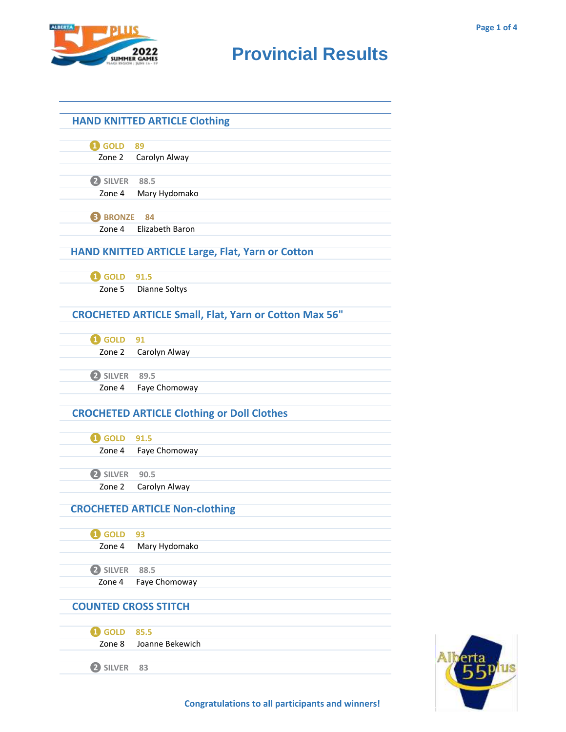

| <b>HAND KNITTED ARTICLE Clothing</b>                    |                                                              |  |  |
|---------------------------------------------------------|--------------------------------------------------------------|--|--|
|                                                         |                                                              |  |  |
| <b>1</b> GOLD 89                                        |                                                              |  |  |
|                                                         | Zone 2 Carolyn Alway                                         |  |  |
|                                                         |                                                              |  |  |
| 2 SILVER 88.5                                           | Zone 4 Mary Hydomako                                         |  |  |
|                                                         |                                                              |  |  |
| <b>B</b> BRONZE 84                                      |                                                              |  |  |
| Zone 4                                                  | Elizabeth Baron                                              |  |  |
|                                                         |                                                              |  |  |
| <b>HAND KNITTED ARTICLE Large, Flat, Yarn or Cotton</b> |                                                              |  |  |
|                                                         |                                                              |  |  |
| <b>1</b> GOLD 91.5                                      |                                                              |  |  |
|                                                         | Zone 5 Dianne Soltys                                         |  |  |
|                                                         |                                                              |  |  |
|                                                         | <b>CROCHETED ARTICLE Small, Flat, Yarn or Cotton Max 56"</b> |  |  |
| <b>1</b> GOLD 91                                        |                                                              |  |  |
|                                                         | Zone 2 Carolyn Alway                                         |  |  |
|                                                         |                                                              |  |  |
| 2 SILVER 89.5                                           |                                                              |  |  |
|                                                         | Zone 4 Faye Chomoway                                         |  |  |
|                                                         |                                                              |  |  |
|                                                         | <b>CROCHETED ARTICLE Clothing or Doll Clothes</b>            |  |  |
|                                                         |                                                              |  |  |
| <b>1</b> GOLD 91.5                                      |                                                              |  |  |
|                                                         | Zone 4 Faye Chomoway                                         |  |  |
|                                                         |                                                              |  |  |
| 2 SILVER 90.5                                           |                                                              |  |  |
| Zone 2                                                  | Carolyn Alway                                                |  |  |
|                                                         |                                                              |  |  |
| <b>CROCHETED ARTICLE Non-clothing</b>                   |                                                              |  |  |
| <b>i</b> GOLD                                           | 93                                                           |  |  |
| Zone 4                                                  | Mary Hydomako                                                |  |  |
|                                                         |                                                              |  |  |
| 2 SILVER                                                | 88.5                                                         |  |  |
| Zone 4                                                  | Faye Chomoway                                                |  |  |
|                                                         |                                                              |  |  |
| <b>COUNTED CROSS STITCH</b>                             |                                                              |  |  |
|                                                         |                                                              |  |  |
| <b>i</b> GOLD                                           | 85.5                                                         |  |  |
| Zone 8                                                  | Joanne Bekewich                                              |  |  |
| 2 SILVER                                                | 83                                                           |  |  |
|                                                         |                                                              |  |  |



**Congratulations to all participants and winners!**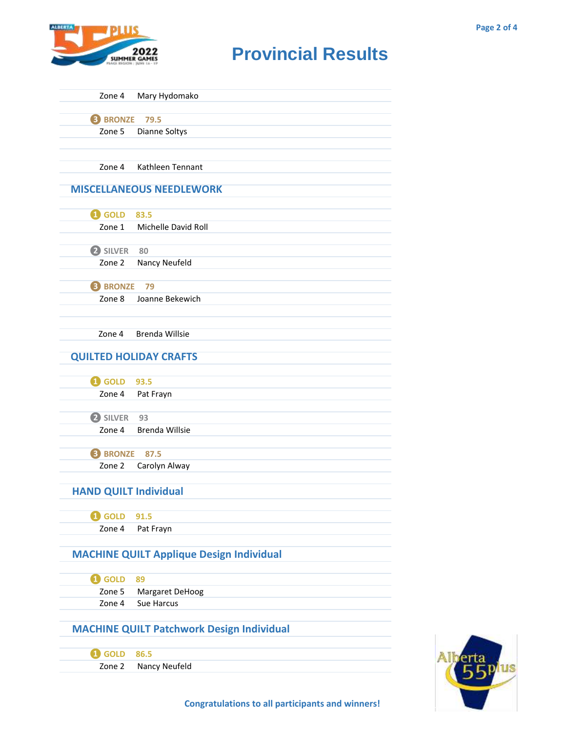

| Zone 4                                           | Mary Hydomako                                   |  |
|--------------------------------------------------|-------------------------------------------------|--|
| <b>B</b> BRONZE<br>79.5                          |                                                 |  |
| Zone 5                                           | Dianne Soltys                                   |  |
|                                                  |                                                 |  |
|                                                  |                                                 |  |
| Zone 4                                           | Kathleen Tennant                                |  |
|                                                  |                                                 |  |
|                                                  | <b>MISCELLANEOUS NEEDLEWORK</b>                 |  |
|                                                  |                                                 |  |
| <b>1</b> GOLD 83.5                               |                                                 |  |
| Zone 1                                           | Michelle David Roll                             |  |
|                                                  |                                                 |  |
| 2 SILVER 80                                      |                                                 |  |
| Zone 2                                           | Nancy Neufeld                                   |  |
|                                                  |                                                 |  |
| <b>8 BRONZE</b>                                  | 79                                              |  |
| Zone 8                                           | Joanne Bekewich                                 |  |
|                                                  |                                                 |  |
|                                                  |                                                 |  |
| Zone 4                                           | <b>Brenda Willsie</b>                           |  |
|                                                  |                                                 |  |
|                                                  | <b>QUILTED HOLIDAY CRAFTS</b>                   |  |
|                                                  |                                                 |  |
| <b>1</b> GOLD 93.5                               |                                                 |  |
| Zone 4                                           | Pat Frayn                                       |  |
|                                                  |                                                 |  |
| 2 SILVER                                         | 93                                              |  |
| Zone 4                                           | Brenda Willsie                                  |  |
|                                                  |                                                 |  |
| <b>B</b> BRONZE                                  | 87.5                                            |  |
| Zone 2                                           | Carolyn Alway                                   |  |
|                                                  |                                                 |  |
| <b>HAND QUILT Individual</b>                     |                                                 |  |
|                                                  |                                                 |  |
| <b>i</b> GOLD                                    | 91.5                                            |  |
| Zone 4                                           | Pat Frayn                                       |  |
|                                                  |                                                 |  |
|                                                  | <b>MACHINE QUILT Applique Design Individual</b> |  |
|                                                  |                                                 |  |
| <b>i</b> GOLD                                    | 89                                              |  |
| Zone 5                                           | Margaret DeHoog                                 |  |
| Zone 4                                           | Sue Harcus                                      |  |
|                                                  |                                                 |  |
| <b>MACHINE QUILT Patchwork Design Individual</b> |                                                 |  |
|                                                  |                                                 |  |
| <b>Q</b> GOLD                                    | 86.5                                            |  |
| Zone 2                                           | Nancy Neufeld                                   |  |
|                                                  |                                                 |  |
|                                                  |                                                 |  |

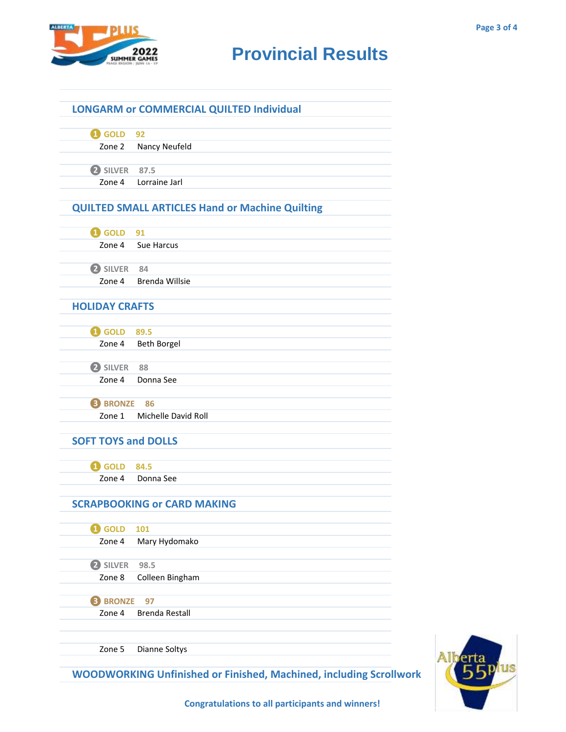

|                            | <b>LONGARM or COMMERCIAL QUILTED Individual</b>        |  |
|----------------------------|--------------------------------------------------------|--|
|                            |                                                        |  |
| <b>O</b> GOLD              | 92                                                     |  |
| Zone 2                     | <b>Nancy Neufeld</b>                                   |  |
|                            |                                                        |  |
| 2 SILVER 87.5              |                                                        |  |
| Zone 4                     | Lorraine Jarl                                          |  |
|                            | <b>QUILTED SMALL ARTICLES Hand or Machine Quilting</b> |  |
|                            |                                                        |  |
| <b>1</b> GOLD 91           |                                                        |  |
|                            | Zone 4 Sue Harcus                                      |  |
|                            |                                                        |  |
| 2 SILVER 84                |                                                        |  |
| Zone 4                     | <b>Brenda Willsie</b>                                  |  |
| <b>HOLIDAY CRAFTS</b>      |                                                        |  |
|                            |                                                        |  |
| <b>1</b> GOLD 89.5         |                                                        |  |
| Zone 4                     | <b>Beth Borgel</b>                                     |  |
|                            |                                                        |  |
| 2 SILVER                   | 88                                                     |  |
| Zone 4                     | Donna See                                              |  |
| <b>B</b> BRONZE<br>86      |                                                        |  |
| Zone 1                     | Michelle David Roll                                    |  |
|                            |                                                        |  |
| <b>SOFT TOYS and DOLLS</b> |                                                        |  |
|                            |                                                        |  |
| <b>1</b> GOLD 84.5         | Zone 4 Donna See                                       |  |
|                            |                                                        |  |
|                            | <b>SCRAPBOOKING or CARD MAKING</b>                     |  |
|                            |                                                        |  |
| <b>Q</b> GOLD              | 101                                                    |  |
| Zone 4                     | Mary Hydomako                                          |  |
| <b>2</b> SILVER            | 98.5                                                   |  |
| Zone 8                     | Colleen Bingham                                        |  |
|                            |                                                        |  |
| <b>8 BRONZE</b>            | 97                                                     |  |
| Zone 4                     | <b>Brenda Restall</b>                                  |  |
|                            |                                                        |  |
| Zone 5                     | Dianne Soltys                                          |  |
|                            |                                                        |  |



**Congratulations to all participants and winners!**

**WOODWORKING Unfinished or Finished, Machined, including Scrollwork**